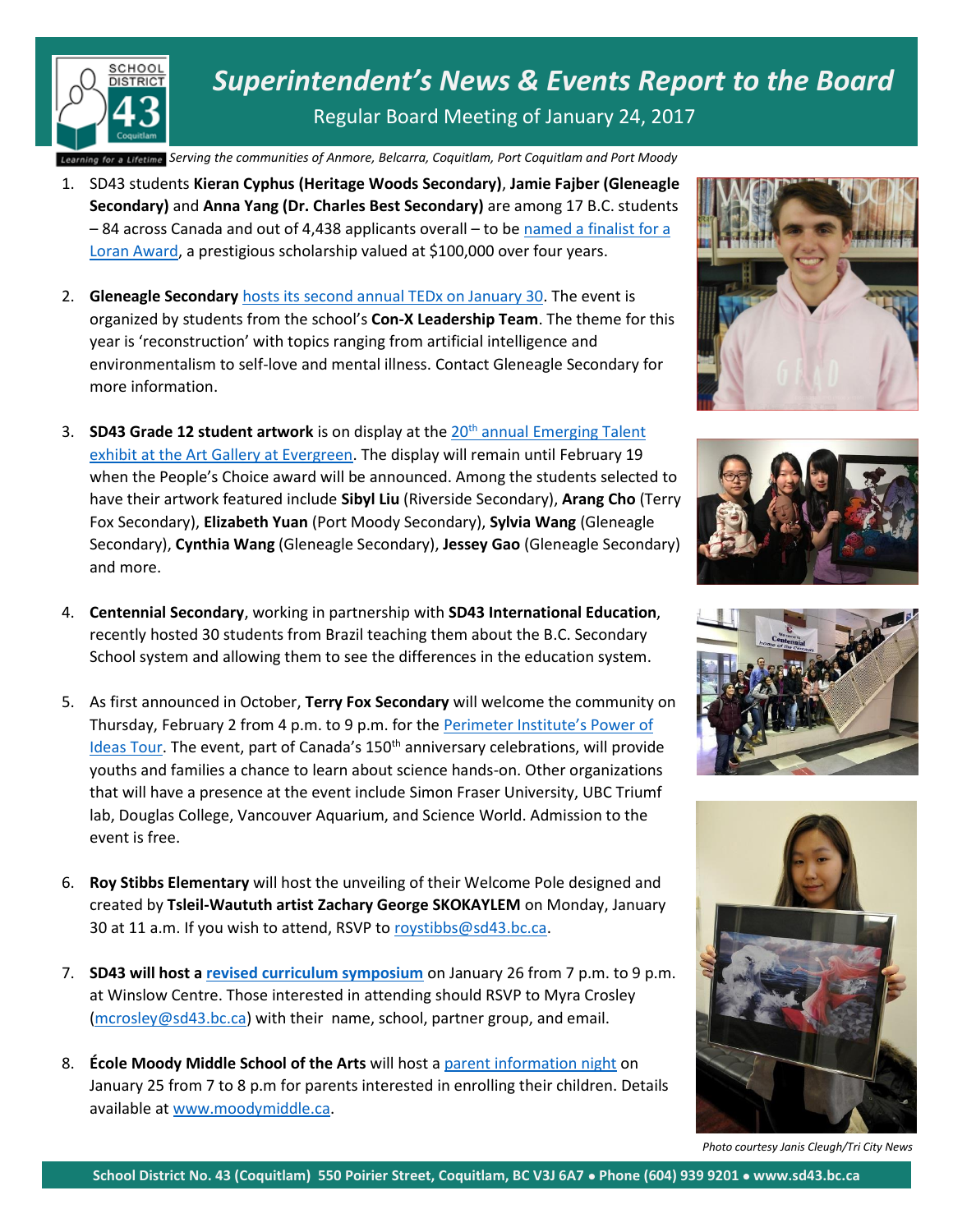

*Superintendent's News & Events Report to the Board* Regular Board Meeting of January 24, 2017

*Serving the communities of Anmore, Belcarra, Coquitlam, Port Coquitlam and Port Moody Belcarra Coquitl am,* 

- 1. SD43 students **Kieran Cyphus (Heritage Woods Secondary)**, **Jamie Fajber (Gleneagle Secondary)** and **Anna Yang (Dr. Charles Best Secondary)** are among 17 B.C. students – 84 across Canada and out of 4,438 applicants overall – to b[e named a finalist for a](http://www.tricitynews.com/community/spotlight-goodbye-to-port-moody-s-fire-chief-1.7034310) [Loran Award,](http://www.tricitynews.com/community/spotlight-goodbye-to-port-moody-s-fire-chief-1.7034310) a prestigious scholarship valued at \$100,000 over four years.
- 2. **Gleneagle Secondary** [hosts its second annual TEDx on January 30.](http://www.tricitynews.com/news/tedx-talks-at-a-coquitlam-high-school-this-month-1.7152412) The event is organized by students from the school's **Con-X Leadership Team**. The theme for this year is 'reconstruction' with topics ranging from artificial intelligence and environmentalism to self-love and mental illness. Contact Gleneagle Secondary for more information.
- 3. **SD43 Grade 12 student artwork** is on display at the 20th [annual Emerging Talent](http://www.tricitynews.com/entertainment/the-best-art-from-sd43-s-grad-class-1.7671929)  [exhibit at the Art Gallery at Evergreen.](http://www.tricitynews.com/entertainment/the-best-art-from-sd43-s-grad-class-1.7671929) The display will remain until February 19 when the People's Choice award will be announced. Among the students selected to have their artwork featured include **Sibyl Liu** (Riverside Secondary), **Arang Cho** (Terry Fox Secondary), **Elizabeth Yuan** (Port Moody Secondary), **Sylvia Wang** (Gleneagle Secondary), **Cynthia Wang** (Gleneagle Secondary), **Jessey Gao** (Gleneagle Secondary) and more.
- 4. **Centennial Secondary**, working in partnership with **SD43 International Education**, recently hosted 30 students from Brazil teaching them about the B.C. Secondary School system and allowing them to see the differences in the education system.
- 5. As first announced in October, **Terry Fox Secondary** will welcome the community on Thursday, February 2 from 4 p.m. to 9 p.m. for the [Perimeter Institute's Power of](http://www.tricitynews.com/news/fox-welcomes-community-to-power-of-ideas-exhibit-1.8022825)  [Ideas Tour](http://www.tricitynews.com/news/fox-welcomes-community-to-power-of-ideas-exhibit-1.8022825). The event, part of Canada's 150<sup>th</sup> anniversary celebrations, will provide youths and families a chance to learn about science hands-on. Other organizations that will have a presence at the event include Simon Fraser University, UBC Triumf lab, Douglas College, Vancouver Aquarium, and Science World. Admission to the event is free.
- 6. **Roy Stibbs Elementary** will host the unveiling of their Welcome Pole designed and created by **Tsleil-Waututh artist Zachary George SKOKAYLEM** on Monday, January 30 at 11 a.m. If you wish to attend, RSVP to [roystibbs@sd43.bc.ca.](mailto:roystibbs@sd43.bc.ca)
- 7. **SD43 will host [a revised curriculum symposium](https://www.sd43.bc.ca/Schools/Documents/Lets%20Talk%20Revised%20Curriculum%20Symposium%20Jan%2026%202017.pdf)** on January 26 from 7 p.m. to 9 p.m. at Winslow Centre. Those interested in attending should RSVP to Myra Crosley [\(mcrosley@sd43.bc.ca\)](mailto:mcrosley@sd43.bc.ca) with their name, school, partner group, and email.
- 8. **École Moody Middle School of the Arts** will host [a parent information night](http://www.tricitynews.com/community/moody-middle-invites-parents-to-meeting-in-port-moody-1.7695131) on January 25 from 7 to 8 p.m for parents interested in enrolling their children. Details available at [www.moodymiddle.ca.](http://www.moodymiddle.ca/)









*Photo courtesy Janis Cleugh/Tri City News*